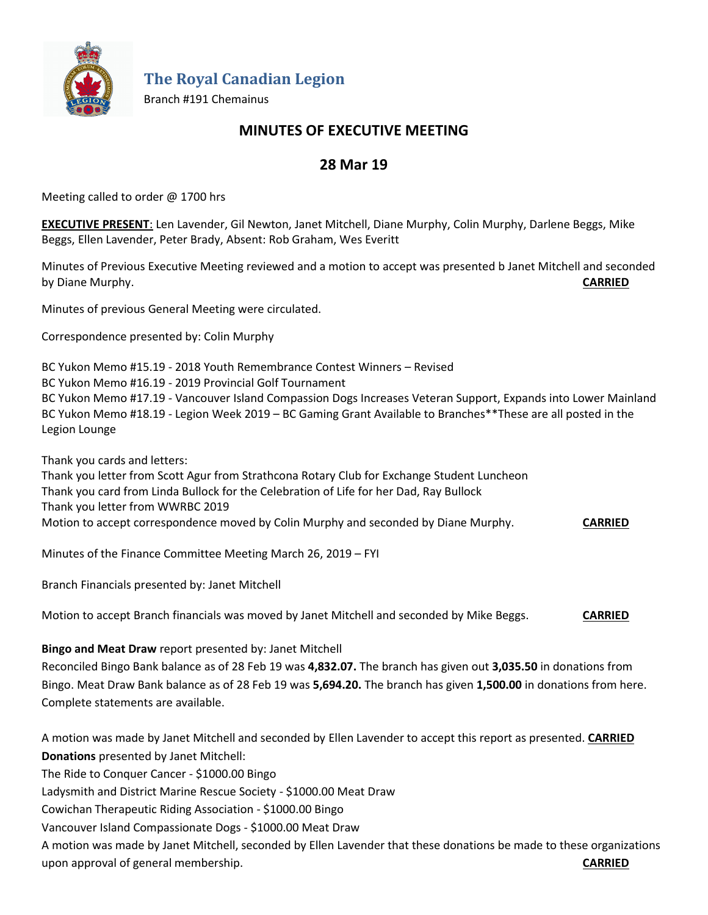

**The Royal Canadian Legion**

Branch #191 Chemainus

# **MINUTES OF EXECUTIVE MEETING**

# **28 Mar 19**

Meeting called to order @ 1700 hrs

**EXECUTIVE PRESENT**: Len Lavender, Gil Newton, Janet Mitchell, Diane Murphy, Colin Murphy, Darlene Beggs, Mike Beggs, Ellen Lavender, Peter Brady, Absent: Rob Graham, Wes Everitt

Minutes of Previous Executive Meeting reviewed and a motion to accept was presented b Janet Mitchell and seconded by Diane Murphy. **CARRIED**

Minutes of previous General Meeting were circulated.

Correspondence presented by: Colin Murphy

BC Yukon Memo #15.19 - 2018 Youth Remembrance Contest Winners – Revised

BC Yukon Memo #16.19 - 2019 Provincial Golf Tournament

BC Yukon Memo #17.19 - Vancouver Island Compassion Dogs Increases Veteran Support, Expands into Lower Mainland BC Yukon Memo #18.19 - Legion Week 2019 – BC Gaming Grant Available to Branches\*\*These are all posted in the Legion Lounge

Thank you cards and letters:

Thank you letter from Scott Agur from Strathcona Rotary Club for Exchange Student Luncheon Thank you card from Linda Bullock for the Celebration of Life for her Dad, Ray Bullock Thank you letter from WWRBC 2019 Motion to accept correspondence moved by Colin Murphy and seconded by Diane Murphy. **CARRIED**

Minutes of the Finance Committee Meeting March 26, 2019 – FYI

Branch Financials presented by: Janet Mitchell

Motion to accept Branch financials was moved by Janet Mitchell and seconded by Mike Beggs. **CARRIED**

## **Bingo and Meat Draw** report presented by: Janet Mitchell

Reconciled Bingo Bank balance as of 28 Feb 19 was **4,832.07.** The branch has given out **3,035.50** in donations from Bingo. Meat Draw Bank balance as of 28 Feb 19 was **5,694.20.** The branch has given **1,500.00** in donations from here. Complete statements are available.

A motion was made by Janet Mitchell and seconded by Ellen Lavender to accept this report as presented. **CARRIED Donations** presented by Janet Mitchell:

The Ride to Conquer Cancer - \$1000.00 Bingo

Ladysmith and District Marine Rescue Society - \$1000.00 Meat Draw

Cowichan Therapeutic Riding Association - \$1000.00 Bingo

Vancouver Island Compassionate Dogs - \$1000.00 Meat Draw

A motion was made by Janet Mitchell, seconded by Ellen Lavender that these donations be made to these organizations upon approval of general membership. **CARRIED**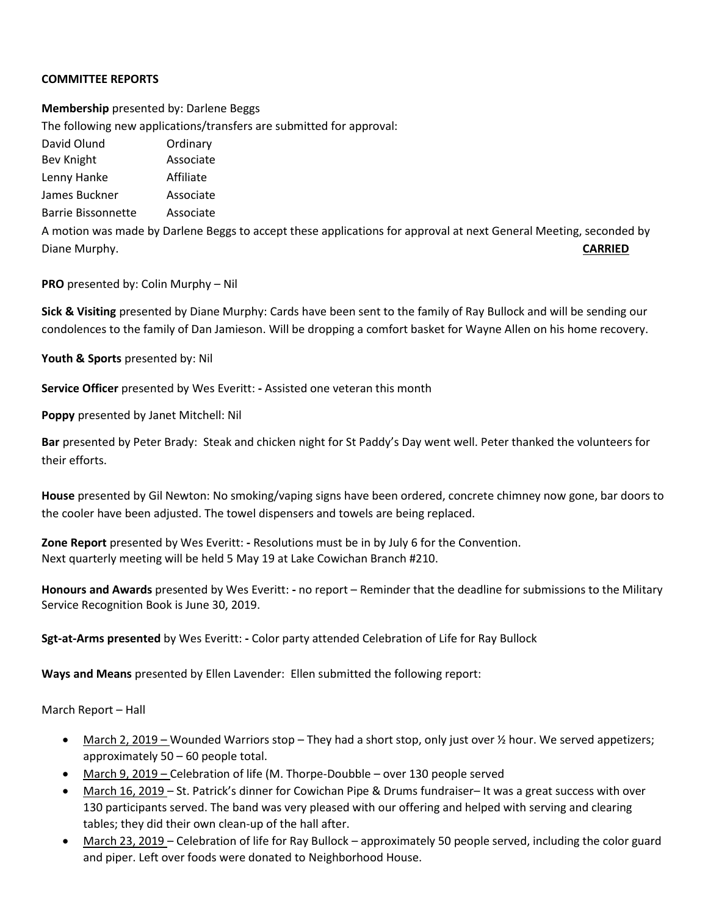## **COMMITTEE REPORTS**

**Membership** presented by: Darlene Beggs The following new applications/transfers are submitted for approval: David Olund **Ordinary** Bev Knight **Associate** Lenny Hanke Affiliate James Buckner Associate Barrie Bissonnette Associate A motion was made by Darlene Beggs to accept these applications for approval at next General Meeting, seconded by Diane Murphy. **CARRIED**

**PRO** presented by: Colin Murphy – Nil

**Sick & Visiting** presented by Diane Murphy: Cards have been sent to the family of Ray Bullock and will be sending our condolences to the family of Dan Jamieson. Will be dropping a comfort basket for Wayne Allen on his home recovery.

**Youth & Sports** presented by: Nil

**Service Officer** presented by Wes Everitt: **-** Assisted one veteran this month

**Poppy** presented by Janet Mitchell: Nil

**Bar** presented by Peter Brady: Steak and chicken night for St Paddy's Day went well. Peter thanked the volunteers for their efforts.

**House** presented by Gil Newton: No smoking/vaping signs have been ordered, concrete chimney now gone, bar doors to the cooler have been adjusted. The towel dispensers and towels are being replaced.

**Zone Report** presented by Wes Everitt: **-** Resolutions must be in by July 6 for the Convention. Next quarterly meeting will be held 5 May 19 at Lake Cowichan Branch #210.

**Honours and Awards** presented by Wes Everitt: **-** no report – Reminder that the deadline for submissions to the Military Service Recognition Book is June 30, 2019.

**Sgt-at-Arms presented** by Wes Everitt: **-** Color party attended Celebration of Life for Ray Bullock

**Ways and Means** presented by Ellen Lavender: Ellen submitted the following report:

March Report – Hall

- March 2, 2019 Wounded Warriors stop They had a short stop, only just over ½ hour. We served appetizers; approximately 50 – 60 people total.
- March 9, 2019 Celebration of life (M. Thorpe-Doubble over 130 people served
- March 16, 2019 St. Patrick's dinner for Cowichan Pipe & Drums fundraiser– It was a great success with over 130 participants served. The band was very pleased with our offering and helped with serving and clearing tables; they did their own clean-up of the hall after.
- March 23, 2019 Celebration of life for Ray Bullock approximately 50 people served, including the color guard and piper. Left over foods were donated to Neighborhood House.